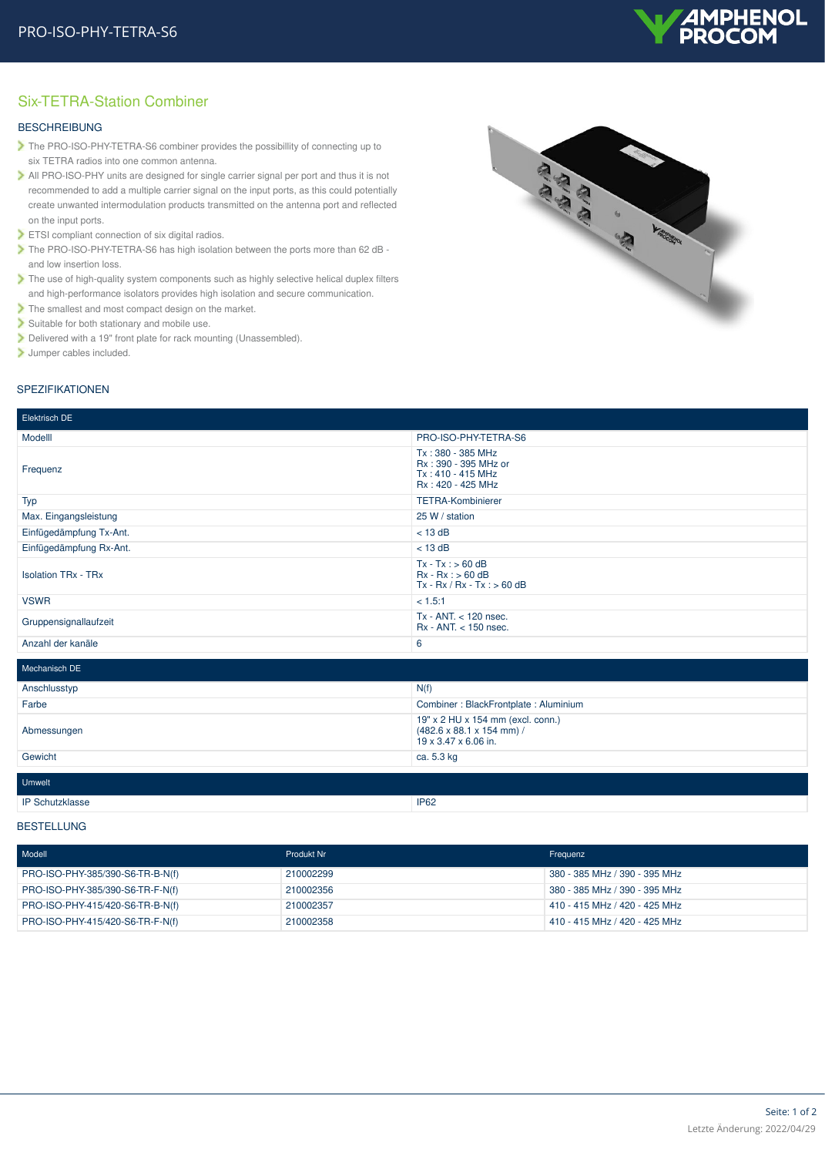

## Six-TETRA-Station Combiner

### **BESCHREIBUNG**

- The PRO-ISO-PHY-TETRA-S6 combiner provides the possibillity of connecting up to six TETRA radios into one common antenna.
- All PRO-ISO-PHY units are designed for single carrier signal per port and thus it is not recommended to add a multiple carrier signal on the input ports, as this could potentially create unwanted intermodulation products transmitted on the antenna port and reflected on the input ports.
- ETSI compliant connection of six digital radios.
- The PRO-ISO-PHY-TETRA-S6 has high isolation between the ports more than 62 dB and low insertion loss.
- The use of high-quality system components such as highly selective helical duplex filters and high-performance isolators provides high isolation and secure communication.
- The smallest and most compact design on the market.
- Suitable for both stationary and mobile use.
- Delivered with a 19" front plate for rack mounting (Unassembled).
- Jumper cables included.

# SPEZIFIKATIONEN

| Elektrisch DE              |                                                                                                    |  |
|----------------------------|----------------------------------------------------------------------------------------------------|--|
|                            |                                                                                                    |  |
| Modelll                    | PRO-ISO-PHY-TETRA-S6                                                                               |  |
| Frequenz                   | Tx: 380 - 385 MHz<br>Rx: 390 - 395 MHz or<br>Tx: 410 - 415 MHz<br>Rx: 420 - 425 MHz                |  |
| Typ                        | <b>TETRA-Kombinierer</b>                                                                           |  |
| Max. Eingangsleistung      | 25 W / station                                                                                     |  |
| Einfügedämpfung Tx-Ant.    | $<$ 13 dB                                                                                          |  |
| Einfügedämpfung Rx-Ant.    | $<$ 13 dB                                                                                          |  |
| <b>Isolation TRx - TRx</b> | $Tx - Tx : > 60$ dB<br>$Rx - Rx : > 60 dB$<br>$Tx - Rx / Rx - Tx : > 60 dB$                        |  |
| <b>VSWR</b>                | < 1.5:1                                                                                            |  |
| Gruppensignallaufzeit      | $Tx - ANT < 120$ nsec.<br>Rx - ANT. < 150 nsec.                                                    |  |
| Anzahl der kanäle          | 6                                                                                                  |  |
| Mechanisch DE              |                                                                                                    |  |
| Anschlusstyp               | N(f)                                                                                               |  |
| Farbe                      | Combiner: BlackFrontplate: Aluminium                                                               |  |
| Abmessungen                | 19" x 2 HU x 154 mm (excl. conn.)<br>$(482.6 \times 88.1 \times 154$ mm) /<br>19 x 3.47 x 6.06 in. |  |
| Gewicht                    | ca. 5.3 kg                                                                                         |  |
|                            |                                                                                                    |  |
| <b>Umwelt</b>              |                                                                                                    |  |
| <b>IP Schutzklasse</b>     | <b>IP62</b>                                                                                        |  |

#### BESTELLUNG

| Modell                           | Produkt Nr | Frequenz                      |
|----------------------------------|------------|-------------------------------|
| PRO-ISO-PHY-385/390-S6-TR-B-N(f) | 210002299  | 380 - 385 MHz / 390 - 395 MHz |
| PRO-ISO-PHY-385/390-S6-TR-F-N(f) | 210002356  | 380 - 385 MHz / 390 - 395 MHz |
| PRO-ISO-PHY-415/420-S6-TR-B-N(f) | 210002357  | 410 - 415 MHz / 420 - 425 MHz |
| PRO-ISO-PHY-415/420-S6-TR-F-N(f) | 210002358  | 410 - 415 MHz / 420 - 425 MHz |